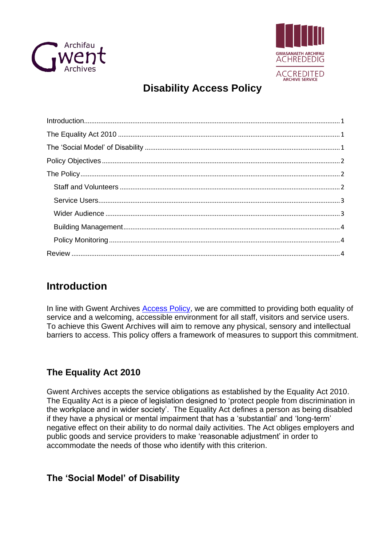



# **Disability Access Policy**

## <span id="page-0-0"></span>**Introduction**

In line with Gwent Archives **Access Policy**, we are committed to providing both equality of service and a welcoming, accessible environment for all staff, visitors and service users. To achieve this Gwent Archives will aim to remove any physical, sensory and intellectual barriers to access. This policy offers a framework of measures to support this commitment.

## <span id="page-0-1"></span>**The Equality Act 2010**

Gwent Archives accepts the service obligations as established by the Equality Act 2010. The Equality Act is a piece of legislation designed to 'protect people from discrimination in the workplace and in wider society'. The Equality Act defines a person as being disabled if they have a physical or mental impairment that has a 'substantial' and 'long-term' negative effect on their ability to do normal daily activities. The Act obliges employers and public goods and service providers to make 'reasonable adjustment' in order to accommodate the needs of those who identify with this criterion.

## <span id="page-0-2"></span>**The 'Social Model' of Disability**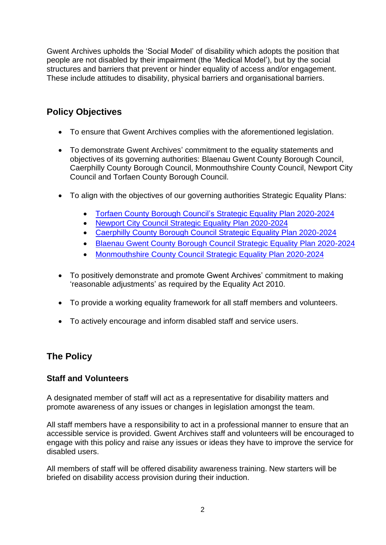Gwent Archives upholds the 'Social Model' of disability which adopts the position that people are not disabled by their impairment (the 'Medical Model'), but by the social structures and barriers that prevent or hinder equality of access and/or engagement. These include attitudes to disability, physical barriers and organisational barriers.

## <span id="page-1-0"></span>**Policy Objectives**

- To ensure that Gwent Archives complies with the aforementioned legislation.
- To demonstrate Gwent Archives' commitment to the equality statements and objectives of its governing authorities: Blaenau Gwent County Borough Council, Caerphilly County Borough Council, Monmouthshire County Council, Newport City Council and Torfaen County Borough Council.
- To align with the objectives of our governing authorities Strategic Equality Plans:
	- [Torfaen County Borough Council's](https://www.torfaen.gov.uk/en/Related-Documents/Equalities-and-Diversity/Strategic-Equality-Plan.pdf) Strategic Equality Plan 2020-2024
	- [Newport City Council Strategic Equality Plan 2020-2024](https://www.newport.gov.uk/documents/Council-and-Democracy/Equalities-and-Welsh-language-/Strategic-Equality-Plan-2020-2024.pdf)
	- Caerphilly [County Borough Council Strategic Equality Plan 2020-2024](https://www.caerphilly.gov.uk/My-Council/Strategies,-plans-and-policies/Equalities/Strategic-Equality-Plan)
	- [Blaenau Gwent County Borough Council Strategic Equality Plan 2020-2024](https://www.blaenau-gwent.gov.uk/media/jdfplpau/strategic_equality_plan_2020-24_pdf.pdf?msclkid=f49f57e2d04111ecbe8f52e759b6d28a)
	- [Monmouthshire County Council Strategic Equality Plan 2020-2024](https://democracy.monmouthshire.gov.uk/documents/s24036/MCC%203rd%20Strategic%20Equality%20Plan%20draft%20ENGlish.pdf)
- To positively demonstrate and promote Gwent Archives' commitment to making 'reasonable adjustments' as required by the Equality Act 2010.
- To provide a working equality framework for all staff members and volunteers.
- To actively encourage and inform disabled staff and service users.

## <span id="page-1-1"></span>**The Policy**

#### <span id="page-1-2"></span>**Staff and Volunteers**

A designated member of staff will act as a representative for disability matters and promote awareness of any issues or changes in legislation amongst the team.

All staff members have a responsibility to act in a professional manner to ensure that an accessible service is provided. Gwent Archives staff and volunteers will be encouraged to engage with this policy and raise any issues or ideas they have to improve the service for disabled users.

All members of staff will be offered disability awareness training. New starters will be briefed on disability access provision during their induction.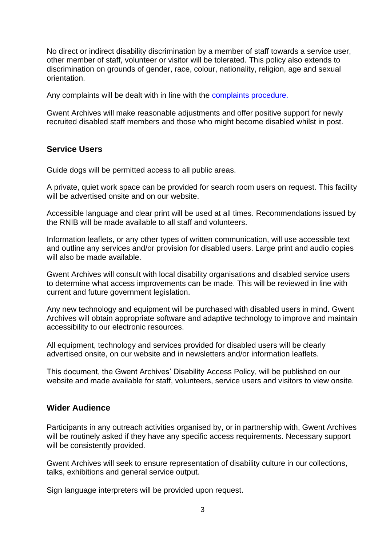No direct or indirect disability discrimination by a member of staff towards a service user, other member of staff, volunteer or visitor will be tolerated. This policy also extends to discrimination on grounds of gender, race, colour, nationality, religion, age and sexual orientation.

Any complaints will be dealt with in line with the [complaints procedure.](https://www.torfaen.gov.uk/en/AboutTheCouncil/Complaints/Service-Complaints/How-to-Complain.aspx)

Gwent Archives will make reasonable adjustments and offer positive support for newly recruited disabled staff members and those who might become disabled whilst in post.

#### <span id="page-2-0"></span>**Service Users**

Guide dogs will be permitted access to all public areas.

A private, quiet work space can be provided for search room users on request. This facility will be advertised onsite and on our website.

Accessible language and clear print will be used at all times. Recommendations issued by the RNIB will be made available to all staff and volunteers.

Information leaflets, or any other types of written communication, will use accessible text and outline any services and/or provision for disabled users. Large print and audio copies will also be made available.

Gwent Archives will consult with local disability organisations and disabled service users to determine what access improvements can be made. This will be reviewed in line with current and future government legislation.

Any new technology and equipment will be purchased with disabled users in mind. Gwent Archives will obtain appropriate software and adaptive technology to improve and maintain accessibility to our electronic resources.

All equipment, technology and services provided for disabled users will be clearly advertised onsite, on our website and in newsletters and/or information leaflets.

This document, the Gwent Archives' Disability Access Policy, will be published on our website and made available for staff, volunteers, service users and visitors to view onsite.

#### <span id="page-2-1"></span>**Wider Audience**

Participants in any outreach activities organised by, or in partnership with, Gwent Archives will be routinely asked if they have any specific access requirements. Necessary support will be consistently provided.

Gwent Archives will seek to ensure representation of disability culture in our collections, talks, exhibitions and general service output.

Sign language interpreters will be provided upon request.